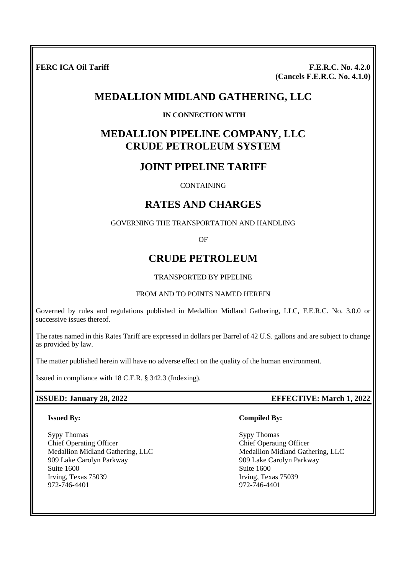**FERC ICA Oil Tariff** F.E.R.C. No. 4.2.0 **(Cancels F.E.R.C. No. 4.1.0)**

# **MEDALLION MIDLAND GATHERING, LLC**

## **IN CONNECTION WITH**

# **MEDALLION PIPELINE COMPANY, LLC CRUDE PETROLEUM SYSTEM**

# **JOINT PIPELINE TARIFF**

CONTAINING

# **RATES AND CHARGES**

### GOVERNING THE TRANSPORTATION AND HANDLING

OF

# **CRUDE PETROLEUM**

## TRANSPORTED BY PIPELINE

### FROM AND TO POINTS NAMED HEREIN

Governed by rules and regulations published in Medallion Midland Gathering, LLC, F.E.R.C. No. 3.0.0 or successive issues thereof.

The rates named in this Rates Tariff are expressed in dollars per Barrel of 42 U.S. gallons and are subject to change as provided by law.

The matter published herein will have no adverse effect on the quality of the human environment.

Issued in compliance with 18 C.F.R. § 342.3 (Indexing).

#### **Issued By:**

Sypy Thomas Chief Operating Officer Medallion Midland Gathering, LLC 909 Lake Carolyn Parkway Suite 1600 Irving, Texas 75039 972-746-4401

### **Compiled By:**

Sypy Thomas Chief Operating Officer Medallion Midland Gathering, LLC 909 Lake Carolyn Parkway Suite 1600 Irving, Texas 75039 972-746-4401

## **ISSUED: January 28, 2022 EFFECTIVE: March 1, 2022**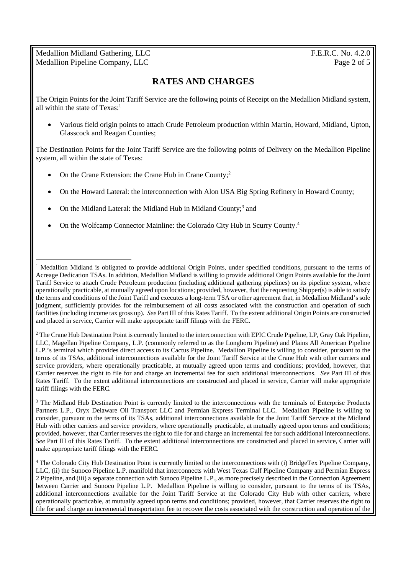Medallion Midland Gathering, LLC F.E.R.C. No. 4.2.0 Medallion Pipeline Company, LLC Page 2 of 5

# **RATES AND CHARGES**

The Origin Points for the Joint Tariff Service are the following points of Receipt on the Medallion Midland system, all within the state of  $Texas<sup>1</sup>$ 

 Various field origin points to attach Crude Petroleum production within Martin, Howard, Midland, Upton, Glasscock and Reagan Counties;

The Destination Points for the Joint Tariff Service are the following points of Delivery on the Medallion Pipeline system, all within the state of Texas:

- On the Crane Extension: the Crane Hub in Crane County;<sup>2</sup>
- On the Howard Lateral: the interconnection with Alon USA Big Spring Refinery in Howard County;
- On the Midland Lateral: the Midland Hub in Midland County;<sup>3</sup> and
- On the Wolfcamp Connector Mainline: the Colorado City Hub in Scurry County.<sup>4</sup>

<sup>2</sup> The Crane Hub Destination Point is currently limited to the interconnection with EPIC Crude Pipeline, LP, Gray Oak Pipeline, LLC, Magellan Pipeline Company, L.P. (commonly referred to as the Longhorn Pipeline) and Plains All American Pipeline L.P.'s terminal which provides direct access to its Cactus Pipeline. Medallion Pipeline is willing to consider, pursuant to the terms of its TSAs, additional interconnections available for the Joint Tariff Service at the Crane Hub with other carriers and service providers, where operationally practicable, at mutually agreed upon terms and conditions; provided, however, that Carrier reserves the right to file for and charge an incremental fee for such additional interconnections. *See* Part III of this Rates Tariff. To the extent additional interconnections are constructed and placed in service, Carrier will make appropriate tariff filings with the FERC.

<sup>&</sup>lt;sup>1</sup> Medallion Midland is obligated to provide additional Origin Points, under specified conditions, pursuant to the terms of Acreage Dedication TSAs. In addition, Medallion Midland is willing to provide additional Origin Points available for the Joint Tariff Service to attach Crude Petroleum production (including additional gathering pipelines) on its pipeline system, where operationally practicable, at mutually agreed upon locations; provided, however, that the requesting Shipper(s) is able to satisfy the terms and conditions of the Joint Tariff and executes a long-term TSA or other agreement that, in Medallion Midland's sole judgment, sufficiently provides for the reimbursement of all costs associated with the construction and operation of such facilities (including income tax gross up). *See* Part III of this Rates Tariff. To the extent additional Origin Points are constructed and placed in service, Carrier will make appropriate tariff filings with the FERC.

<sup>&</sup>lt;sup>3</sup> The Midland Hub Destination Point is currently limited to the interconnections with the terminals of Enterprise Products Partners L.P., Oryx Delaware Oil Transport LLC and Permian Express Terminal LLC. Medallion Pipeline is willing to consider, pursuant to the terms of its TSAs, additional interconnections available for the Joint Tariff Service at the Midland Hub with other carriers and service providers, where operationally practicable, at mutually agreed upon terms and conditions; provided, however, that Carrier reserves the right to file for and charge an incremental fee for such additional interconnections. *See* Part III of this Rates Tariff. To the extent additional interconnections are constructed and placed in service, Carrier will make appropriate tariff filings with the FERC.

<sup>&</sup>lt;sup>4</sup> The Colorado City Hub Destination Point is currently limited to the interconnections with (i) BridgeTex Pipeline Company, LLC, (ii) the Sunoco Pipeline L.P. manifold that interconnects with West Texas Gulf Pipeline Company and Permian Express 2 Pipeline, and (iii) a separate connection with Sunoco Pipeline L.P., as more precisely described in the Connection Agreement between Carrier and Sunoco Pipeline L.P. Medallion Pipeline is willing to consider, pursuant to the terms of its TSAs, additional interconnections available for the Joint Tariff Service at the Colorado City Hub with other carriers, where operationally practicable, at mutually agreed upon terms and conditions; provided, however, that Carrier reserves the right to file for and charge an incremental transportation fee to recover the costs associated with the construction and operation of the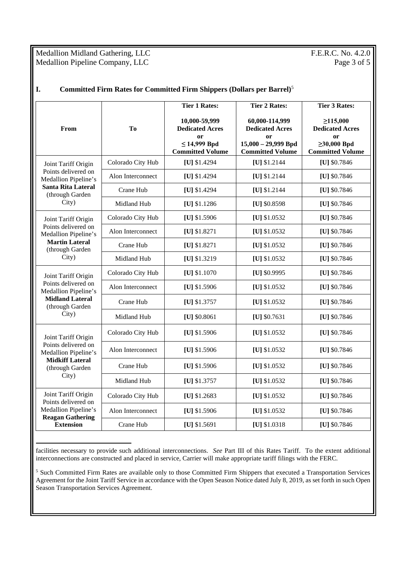Medallion Midland Gathering, LLC F.E.R.C. No. 4.2.0 Medallion Pipeline Company, LLC Page 3 of 5

#### **I. Committed Firm Rates for Committed Firm Shippers (Dollars per Barrel)**<sup>5</sup>

|                                                                                                                          |                   | <b>Tier 1 Rates:</b>                                                                                 | <b>Tier 2 Rates:</b>                                                                                      | <b>Tier 3 Rates:</b>                                                                                  |
|--------------------------------------------------------------------------------------------------------------------------|-------------------|------------------------------------------------------------------------------------------------------|-----------------------------------------------------------------------------------------------------------|-------------------------------------------------------------------------------------------------------|
| From                                                                                                                     | To                | 10,000-59,999<br><b>Dedicated Acres</b><br><b>or</b><br>$\leq$ 14,999 Bpd<br><b>Committed Volume</b> | 60,000-114,999<br><b>Dedicated Acres</b><br><b>or</b><br>$15,000 - 29,999$ Bpd<br><b>Committed Volume</b> | $\geq$ 115,000<br><b>Dedicated Acres</b><br><b>or</b><br>$\geq 30,000$ Bpd<br><b>Committed Volume</b> |
| Joint Tariff Origin<br>Points delivered on<br>Medallion Pipeline's                                                       | Colorado City Hub | [U] $$1.4294$                                                                                        | [U] $$1.2144$                                                                                             | [U] $$0.7846$                                                                                         |
|                                                                                                                          | Alon Interconnect | [U] $$1.4294$                                                                                        | [U] \$1.2144                                                                                              | [U] $$0.7846$                                                                                         |
| <b>Santa Rita Lateral</b><br>(through Garden                                                                             | Crane Hub         | [U] \$1.4294                                                                                         | [U] \$1.2144                                                                                              | [U] \$0.7846                                                                                          |
| City)                                                                                                                    | Midland Hub       | [U] $$1.1286$                                                                                        | [U] \$0.8598                                                                                              | [U] \$0.7846                                                                                          |
| Joint Tariff Origin                                                                                                      | Colorado City Hub | [U] $$1.5906$                                                                                        | [U] $$1.0532$                                                                                             | [U] $$0.7846$                                                                                         |
| Points delivered on<br>Medallion Pipeline's<br><b>Martin Lateral</b><br>(through Garden<br>City)                         | Alon Interconnect | [U] \$1.8271                                                                                         | [U] \$1.0532                                                                                              | [U] \$0.7846                                                                                          |
|                                                                                                                          | Crane Hub         | [U] \$1.8271                                                                                         | [U] $$1.0532$                                                                                             | [U] $$0.7846$                                                                                         |
|                                                                                                                          | Midland Hub       | [U] $$1.3219$                                                                                        | [U] $$1.0532$                                                                                             | [U] $$0.7846$                                                                                         |
| Joint Tariff Origin                                                                                                      | Colorado City Hub | [U] $$1.1070$                                                                                        | [U] \$0.9995                                                                                              | [U] \$0.7846                                                                                          |
| Points delivered on<br>Medallion Pipeline's                                                                              | Alon Interconnect | [U] $$1.5906$                                                                                        | [U] \$1.0532                                                                                              | [U] $$0.7846$                                                                                         |
| <b>Midland Lateral</b><br>(through Garden                                                                                | Crane Hub         | [U] \$1.3757                                                                                         | [U] \$1.0532                                                                                              | [U] \$0.7846                                                                                          |
| City)                                                                                                                    | Midland Hub       | [U] $$0.8061$                                                                                        | [U] $$0.7631$                                                                                             | [U] \$0.7846                                                                                          |
| Joint Tariff Origin<br>Points delivered on<br>Medallion Pipeline's<br><b>Midkiff Lateral</b><br>(through Garden<br>City) | Colorado City Hub | [U] \$1.5906                                                                                         | [U] $$1.0532$                                                                                             | [U] \$0.7846                                                                                          |
|                                                                                                                          | Alon Interconnect | [U] $$1.5906$                                                                                        | [U] $$1.0532$                                                                                             | [U] \$0.7846                                                                                          |
|                                                                                                                          | Crane Hub         | [U] \$1.5906                                                                                         | [U] \$1.0532                                                                                              | [U] \$0.7846                                                                                          |
|                                                                                                                          | Midland Hub       | [U] \$1.3757                                                                                         | [U] \$1.0532                                                                                              | [U] \$0.7846                                                                                          |
| Joint Tariff Origin<br>Points delivered on<br>Medallion Pipeline's<br><b>Reagan Gathering</b><br><b>Extension</b>        | Colorado City Hub | [U] $$1.2683$                                                                                        | [U] \$1.0532                                                                                              | [U] \$0.7846                                                                                          |
|                                                                                                                          | Alon Interconnect | [U] \$1.5906                                                                                         | [U] \$1.0532                                                                                              | [U] \$0.7846                                                                                          |
|                                                                                                                          | Crane Hub         | [U] $$1.5691$                                                                                        | $[U]$ \$1.0318                                                                                            | [U] \$0.7846                                                                                          |

facilities necessary to provide such additional interconnections. *See* Part III of this Rates Tariff. To the extent additional interconnections are constructed and placed in service, Carrier will make appropriate tariff filings with the FERC.

<sup>5</sup> Such Committed Firm Rates are available only to those Committed Firm Shippers that executed a Transportation Services Agreement for the Joint Tariff Service in accordance with the Open Season Notice dated July 8, 2019, as set forth in such Open Season Transportation Services Agreement.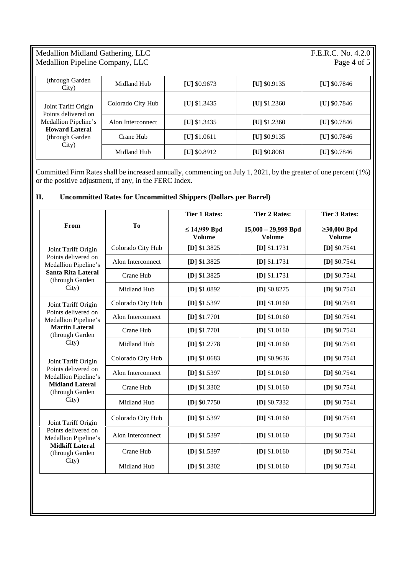## Medallion Midland Gathering, LLC F.E.R.C. No. 4.2.0 Medallion Pipeline Company, LLC Page 4 of 5

| (through Garden)<br>City)                                                                                               | Midland Hub       | [U] $$0.9673$ | [U] $$0.9135$ | [U] $$0.7846$ |
|-------------------------------------------------------------------------------------------------------------------------|-------------------|---------------|---------------|---------------|
| Joint Tariff Origin<br>Points delivered on<br>Medallion Pipeline's<br><b>Howard Lateral</b><br>(through Garden<br>City) | Colorado City Hub | [U] $$1.3435$ | [U] $$1.2360$ | [U] $$0.7846$ |
|                                                                                                                         | Alon Interconnect | [U] $$1.3435$ | [U] $$1.2360$ | [U] $$0.7846$ |
|                                                                                                                         | Crane Hub         | [U] $$1.0611$ | [U] $$0.9135$ | [U] $$0.7846$ |
|                                                                                                                         | Midland Hub       | [U] $$0.8912$ | [U] $$0.8061$ | [U] $$0.7846$ |

Committed Firm Rates shall be increased annually, commencing on July 1, 2021, by the greater of one percent (1%) or the positive adjustment, if any, in the FERC Index.

## **II. Uncommitted Rates for Uncommitted Shippers (Dollars per Barrel)**

| From                                                                                                                     | T <sub>0</sub>    | <b>Tier 1 Rates:</b>               | <b>Tier 2 Rates:</b>                   | <b>Tier 3 Rates:</b>               |
|--------------------------------------------------------------------------------------------------------------------------|-------------------|------------------------------------|----------------------------------------|------------------------------------|
|                                                                                                                          |                   | $\leq$ 14,999 Bpd<br><b>Volume</b> | $15,000 - 29,999$ Bpd<br><b>Volume</b> | $\geq$ 30,000 Bpd<br><b>Volume</b> |
| Joint Tariff Origin                                                                                                      | Colorado City Hub | $[D]$ \$1.3825                     | $[D]$ \$1.1731                         | $[D]$ \$0.7541                     |
| Points delivered on<br>Medallion Pipeline's                                                                              | Alon Interconnect | $[D]$ \$1.3825                     | $[D]$ \$1.1731                         | $[D]$ \$0.7541                     |
| <b>Santa Rita Lateral</b><br>(through Garden                                                                             | Crane Hub         | [D] $$1.3825$                      | $[D]$ \$1.1731                         | [D] $$0.7541$                      |
| City)                                                                                                                    | Midland Hub       | $[D]$ \$1.0892                     | $[D]$ \$0.8275                         | $[D]$ \$0.7541                     |
| Joint Tariff Origin                                                                                                      | Colorado City Hub | $[D]$ \$1.5397                     | $[D]$ \$1.0160                         | $[D]$ \$0.7541                     |
| Points delivered on<br>Medallion Pipeline's<br><b>Martin Lateral</b><br>(through Garden<br>City)                         | Alon Interconnect | $[D]$ \$1.7701                     | $[D]$ \$1.0160                         | $[D]$ \$0.7541                     |
|                                                                                                                          | Crane Hub         | $[D]$ \$1.7701                     | $[D]$ \$1.0160                         | $[D]$ \$0.7541                     |
|                                                                                                                          | Midland Hub       | [D] $$1.2778$                      | $[D]$ \$1.0160                         | $[D]$ \$0.7541                     |
| Joint Tariff Origin                                                                                                      | Colorado City Hub | $[D]$ \$1.0683                     | $[D]$ \$0.9636                         | $[D]$ \$0.7541                     |
| Points delivered on<br>Medallion Pipeline's<br><b>Midland Lateral</b><br>(through Garden<br>City)                        | Alon Interconnect | $[D]$ \$1.5397                     | $[D]$ \$1.0160                         | $[D]$ \$0.7541                     |
|                                                                                                                          | Crane Hub         | [D] $$1.3302$                      | $[D]$ \$1.0160                         | $[D]$ \$0.7541                     |
|                                                                                                                          | Midland Hub       | $[D]$ \$0.7750                     | $[D]$ \$0.7332                         | $[D]$ \$0.7541                     |
| Joint Tariff Origin<br>Points delivered on<br>Medallion Pipeline's<br><b>Midkiff Lateral</b><br>(through Garden<br>City) | Colorado City Hub | [D] $$1.5397$                      | $[D]$ \$1.0160                         | [D] $$0.7541$                      |
|                                                                                                                          | Alon Interconnect | $[D]$ \$1.5397                     | $[D]$ \$1.0160                         | $[D]$ \$0.7541                     |
|                                                                                                                          | Crane Hub         | $[D]$ \$1.5397                     | $[D]$ \$1.0160                         | $[D]$ \$0.7541                     |
|                                                                                                                          | Midland Hub       | $[D]$ \$1.3302                     | $[D]$ \$1.0160                         | $[D]$ \$0.7541                     |